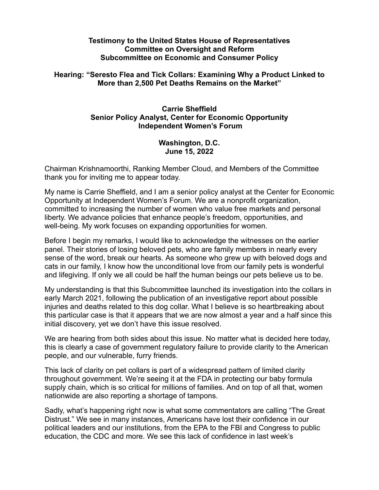## **Testimony to the United States House of Representatives Committee on Oversight and Reform Subcommittee on Economic and Consumer Policy**

## **Hearing: "Seresto Flea and Tick Collars: Examining Why a Product Linked to More than 2,500 Pet Deaths Remains on the Market"**

## **Carrie Sheffield Senior Policy Analyst, Center for Economic Opportunity Independent Women's Forum**

## **Washington, D.C. June 15, 2022**

Chairman Krishnamoorthi, Ranking Member Cloud, and Members of the Committee thank you for inviting me to appear today.

My name is Carrie Sheffield, and I am a senior policy analyst at the Center for Economic Opportunity at Independent Women's Forum. We are a nonprofit organization, committed to increasing the number of women who value free markets and personal liberty. We advance policies that enhance people's freedom, opportunities, and well-being. My work focuses on expanding opportunities for women.

Before I begin my remarks, I would like to acknowledge the witnesses on the earlier panel. Their stories of losing beloved pets, who are family members in nearly every sense of the word, break our hearts. As someone who grew up with beloved dogs and cats in our family, I know how the unconditional love from our family pets is wonderful and lifegiving. If only we all could be half the human beings our pets believe us to be.

My understanding is that this Subcommittee launched its investigation into the collars in early March 2021, following the publication of an [investigative report](https://www.usatoday.com/story/news/investigations/2021/03/02/seresto-dog-cat-collars-found-harm-pets-humans-epa-records-show/4574753001/?gnt-cfr=1) about possible injuries and deaths related to this dog collar. What I believe is so heartbreaking about this particular case is that it appears that we are now almost a year and a half since this initial discovery, yet we don't have this issue resolved.

We are hearing from both sides about this issue. No matter what is decided here today, this is clearly a case of government regulatory failure to provide clarity to the American people, and our vulnerable, furry friends.

This lack of clarity on pet collars is part of a widespread pattern of limited clarity throughout government. We're seeing it at the FDA in protecting our baby formula supply chain, which is so critical for millions of families. And on top of all that, women nationwide are also reporting a shortage of tampons.

Sadly, what's happening right now is what some commentators are calling "The Great Distrust." We see in many instances, Americans have lost their confidence in our political leaders and our institutions, from the EPA to the FBI and Congress to public education, the CDC and more. We see this lack of confidence in last week's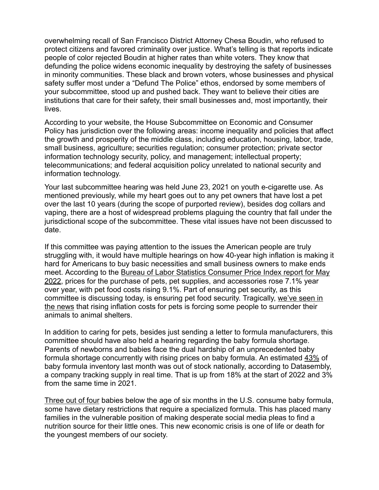overwhelming recall of San Francisco District Attorney Chesa Boudin, who refused to protect citizens and favored criminality over justice. What's telling is that reports indicate people of color rejected Boudin at higher rates than white voters. They know that defunding the police widens economic inequality by destroying the safety of businesses in minority communities. These black and brown voters, whose businesses and physical safety suffer most under a "Defund The Police" ethos, endorsed by some members of your subcommittee, stood up and pushed back. They want to believe their cities are institutions that care for their safety, their small businesses and, most importantly, their lives.

According to your website, the House Subcommittee on Economic and Consumer Policy has jurisdiction over the following areas: income inequality and policies that affect the growth and prosperity of the middle class, including education, housing, labor, trade, small business, agriculture; securities regulation; consumer protection; private sector information technology security, policy, and management; intellectual property; telecommunications; and federal acquisition policy unrelated to national security and information technology.

Your last subcommittee hearing was held June 23, 2021 on youth e-cigarette use. As mentioned previously, while my heart goes out to any pet owners that have lost a pet over the last 10 years (during the scope of purported review), besides dog collars and vaping, there are a host of widespread problems plaguing the country that fall under the jurisdictional scope of the subcommittee. These vital issues have not been discussed to date.

If this committee was paying attention to the issues the American people are truly struggling with, it would have multiple hearings on how 40-year high inflation is making it hard for Americans to buy basic necessities and small business owners to make ends meet. According to the Bureau of Labor Statistics [Consumer Price Index report for May](https://www.bls.gov/news.release/cpi.t02.htm) [2022,](https://www.bls.gov/news.release/cpi.t02.htm) prices for the purchase of pets, pet supplies, and accessories rose 7.1% year over year, with pet food costs rising 9.1%. Part of ensuring pet security, as this committee is discussing today, is ensuring pet food security. Tragically, [we've seen in](https://www.thedenverchannel.com/news/national/rising-costs-for-pets-forces-some-people-to-surrender-their-animals) [the news](https://www.thedenverchannel.com/news/national/rising-costs-for-pets-forces-some-people-to-surrender-their-animals) that rising inflation costs for pets is forcing some people to surrender their animals to animal shelters.

In addition to caring for pets, besides just sending a letter to formula manufacturers, this committee should have also held a hearing regarding the baby formula shortage. Parents of newborns and babies face the dual hardship of an unprecedented baby formula shortage concurrently with rising prices on baby formula. An estimated [43%](https://www.marketplace.org/2022/05/13/more-than-40-of-baby-formula-out-of-stock-data-company-says/) of baby formula inventory last month was out of stock nationally, according to Datasembly, a company tracking supply in real time. That is up from 18% at the start of 2022 and 3% from the same time in 2021.

[Three out of four](https://www.axios.com/2022/05/12/baby-formula-shortage-prices) babies below the age of six months in the U.S. consume baby formula, some have dietary restrictions that require a specialized formula. This has placed many families in the vulnerable position of making desperate social media pleas to find a nutrition source for their little ones. This new economic crisis is one of life or death for the youngest members of our society.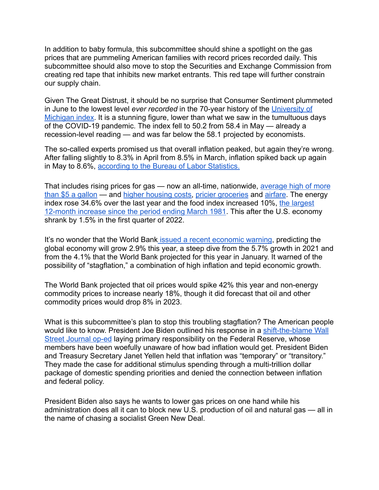In addition to baby formula, this subcommittee should shine a spotlight on the gas prices that are pummeling American families with record prices recorded daily. This subcommittee should also move to stop the Securities and Exchange Commission from creating red tape that inhibits new market entrants. This red tape will further constrain our supply chain.

Given The Great Distrust, it should be no surprise that Consumer Sentiment plummeted in June to the lowest level *ever recorded* in the 70-year history of the [University of](https://www.thebalance.com/consumer-pessimism-reaches-record-low-for-70-year-poll-5409312) [Michigan index](https://www.thebalance.com/consumer-pessimism-reaches-record-low-for-70-year-poll-5409312). It is a stunning figure, lower than what we saw in the tumultuous days of the COVID-19 pandemic. The index fell to 50.2 from 58.4 in May — already a recession-level reading — and was far below the 58.1 projected by economists.

The so-called experts promised us that overall inflation peaked, but again they're wrong. After falling slightly to 8.3% in April from 8.5% in March, inflation spiked back up again in May to 8.6%, [according to the Bureau of Labor Statistics.](https://data.bls.gov/timeseries/CUUR0000SA0&output_view=pct_12mths)

That includes rising prices for gas — now an all-time, nationwide, [average high of more](https://abcnews.go.com/Business/gas-prices-hit-national-average-rapid-rise/story?id=85258013) [than \\$5 a gallon](https://abcnews.go.com/Business/gas-prices-hit-national-average-rapid-rise/story?id=85258013) — and [higher housing costs,](https://www.forbes.com/sites/johnwake/2022/04/01/the-real-reason-house-prices-are-skyrocketing-what-the-real-estate-industry-wont-tell-you/?sh=3b8181625da4) pricier [groceries](https://finance.yahoo.com/news/may-inflation-data-june-10-2022-212834308.html) and [airfare](https://www.cnbc.com/select/airline-ticket-prices-are-up-25-percent-why-and-how-to-save/). The energy index rose 34.6% over the last year and the food index increased 10%, [the largest](https://www.bls.gov/news.release/cpi.nr0.htm) [12-month increase since the period ending March 1981](https://www.bls.gov/news.release/cpi.nr0.htm). This after the U.S. economy shrank by 1.5% in the first quarter of 2022.

It's no wonder that the World Bank issued a recent [economic warning,](https://apnews.com/article/russia-ukraine-david-malpass-united-states-inflation-b29607d2f7504d7bc74321039edd6566) predicting the global economy will grow 2.9% this year, a steep dive from the 5.7% growth in 2021 and from the 4.1% that the World Bank projected for this year in January. It warned of the possibility of "stagflation," a combination of high inflation and tepid economic growth.

The World Bank projected that oil prices would spike 42% this year and non-energy commodity prices to increase nearly 18%, though it did forecast that oil and other commodity prices would drop 8% in 2023.

What is this subcommittee's plan to stop this troubling stagflation? The American people would like to know. President Joe Biden outlined his response in a [shift-the-blame Wall](https://www.wsj.com/articles/my-plan-for-fighting-inflation-joe-biden-gas-prices-economy-unemployment-jobs-covid-11653940654) [Street Journal op-ed](https://www.wsj.com/articles/my-plan-for-fighting-inflation-joe-biden-gas-prices-economy-unemployment-jobs-covid-11653940654) laying primary responsibility on the Federal Reserve, whose members have been woefully unaware of how bad inflation would get. President Biden and Treasury Secretary Janet Yellen held that inflation was "temporary" or "transitory." They made the case for additional stimulus spending through a multi-trillion dollar package of domestic spending priorities and denied the connection between inflation and federal policy.

President Biden also says he wants to lower gas prices on one hand while his administration does all it can to block new U.S. production of oil and natural gas — all in the name of chasing a socialist Green New Deal.